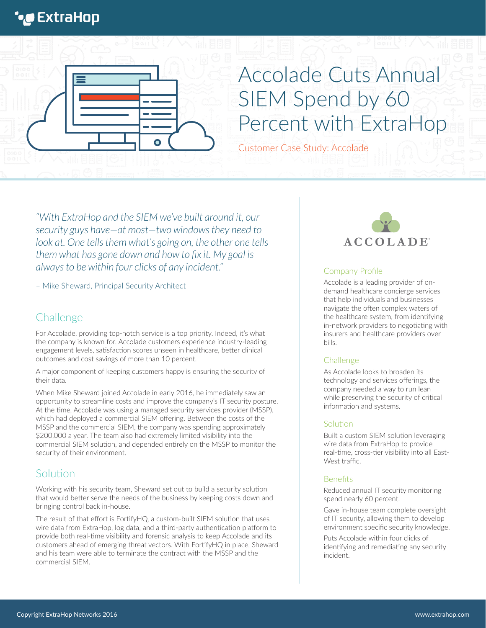## **\*@ExtraHop**



# Accolade Cuts Annual SIEM Spend by 60 Percent with ExtraHop

Customer Case Study: Accolade

*"With ExtraHop and the SIEM we've built around it, our security guys have—at most—two windows they need to*  look at. One tells them what's going on, the other one tells *them what has gone down and how to fix it. My goal is always to be within four clicks of any incident."* 

– Mike Sheward, Principal Security Architect

## **Challenge**

For Accolade, providing top-notch service is a top priority. Indeed, it's what the company is known for. Accolade customers experience industry-leading engagement levels, satisfaction scores unseen in healthcare, better clinical outcomes and cost savings of more than 10 percent.

A major component of keeping customers happy is ensuring the security of their data.

When Mike Sheward joined Accolade in early 2016, he immediately saw an opportunity to streamline costs and improve the company's IT security posture. At the time, Accolade was using a managed security services provider (MSSP), which had deployed a commercial SIEM offering. Between the costs of the MSSP and the commercial SIEM, the company was spending approximately \$200,000 a year. The team also had extremely limited visibility into the commercial SIEM solution, and depended entirely on the MSSP to monitor the security of their environment.

### Solution

Working with his security team, Sheward set out to build a security solution that would better serve the needs of the business by keeping costs down and bringing control back in-house.

The result of that effort is FortifyHQ, a custom-built SIEM solution that uses wire data from ExtraHop, log data, and a third-party authentication platform to provide both real-time visibility and forensic analysis to keep Accolade and its customers ahead of emerging threat vectors. With FortifyHQ in place, Sheward and his team were able to terminate the contract with the MSSP and the commercial SIEM.



#### Company Profile

Accolade is a leading provider of ondemand healthcare concierge services that help individuals and businesses navigate the often complex waters of the healthcare system, from identifying in-network providers to negotiating with insurers and healthcare providers over bills.

#### **Challenge**

As Accolade looks to broaden its technology and services offerings, the company needed a way to run lean while preserving the security of critical information and systems.

#### **Solution**

Built a custom SIEM solution leveraging wire data from ExtraHop to provide real-time, cross-tier visibility into all East-West traffic.

#### **Benefits**

Reduced annual IT security monitoring spend nearly 60 percent.

Gave in-house team complete oversight of IT security, allowing them to develop environment specific security knowledge.

Puts Accolade within four clicks of identifying and remediating any security incident.